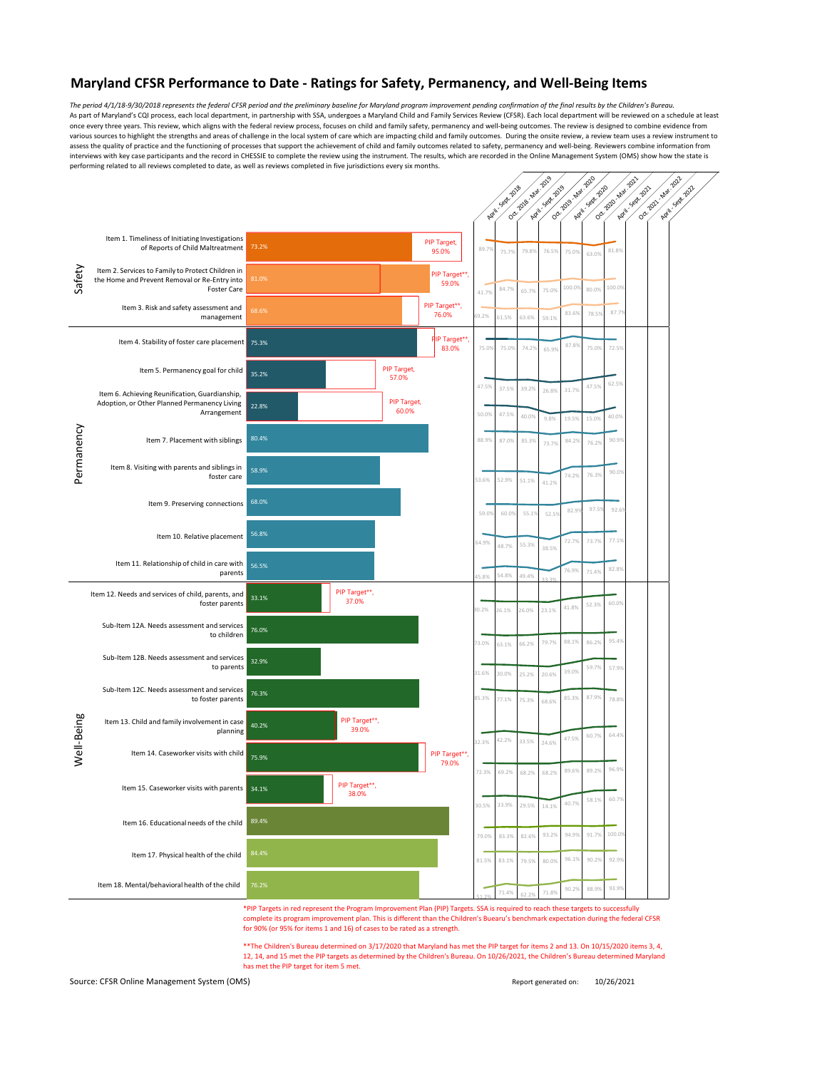# **Maryland CFSR Performance to Date - Ratings for Safety, Permanency, and Well-Being Items**

*The period 4/1/18-9/30/2018 represents the federal CFSR period and the preliminary baseline for Maryland program improvement pending confirmation of the final results by the Children's Bureau.* As part of Maryland's CQI process, each local department, in partnership with SSA, undergoes a Maryland Child and Family Services Review (CFSR). Each local department will be reviewed on a schedule at least once every three years. This review, which aligns with the federal review process, focuses on child and family safety, permanency and well-being outcomes. The review is designed to combine evidence from various sources to highlight the strengths and areas of challenge in the local system of care which are impacting child and family outcomes. During the onsite review, a review team uses a review instrument to assess the quality of practice and the functioning of processes that support the achievement of child and family outcomes related to safety, permanency and well-being. Reviewers combine information from interviews with key case participants and the record in CHESSIE to complete the review using the instrument. The results, which are recorded in the Online Management System (OMS) show how the state is performing related to all reviews completed to date, as well as reviews completed in five jurisdictions every six months.

| Oct-2018-Mar. 2019<br>Oct-2019-Mar-2020<br>Oct-2020-Mar. 2021<br>April - Sept. 2019<br>April Sept. 2020<br>April - Sept. 2018<br>April Sept. 2021<br>Item 1. Timeliness of Initiating Investigations<br>PIP Target,<br>73.2%<br>of Reports of Child Maltreatment<br>89.7%<br>81.8%<br>79.8%<br>95.0%<br>75.7%<br>76.5%<br>75.0%<br>63.0%<br>Safety<br>Item 2. Services to Family to Protect Children in<br>PIP Target**,<br>81.0%<br>the Home and Prevent Removal or Re-Entry into<br>59.0%<br>100.0%<br>100.09<br><b>Foster Care</b><br>84.7%<br>80.0%<br>75.0%<br>65.7%<br>41.7%<br>PIP Target**,<br>Item 3. Risk and safety assessment and<br>68.6%<br>87.79<br>83.6%<br>78.5%<br>76.0%<br>69.2%<br>management<br>63.6%<br>61.5%<br>59.1%<br>PIP Target**,<br>Item 4. Stability of foster care placement 75.3%<br>87.8%<br>83.0%<br>75.0%<br>75.0%<br>75.0%<br>74.2%<br>72.5%<br>65.9%<br>PIP Target,<br>Item 5. Permanency goal for child<br>35.2%<br>57.0%<br>62.5%<br>47.5%<br>47.5%<br>37.5%<br>39.2%<br>31.7%<br>26.8%<br>Item 6. Achieving Reunification, Guardianship,<br>PIP Target,<br>Adoption, or Other Planned Permanency Living<br>22.8%<br>60.0%<br>Arrangement<br>50.0%<br>47.5%<br>40.0%<br>40.0%<br>9.8%<br>19.5%<br>15.0%<br>Permanency<br>80.4%<br>Item 7. Placement with siblings<br>90.9%<br>88.9%<br>87.0%<br>85.3%<br>84.2%<br>76.2%<br>73.7%<br>Item 8. Visiting with parents and siblings in<br>58.9%<br>90.09<br>76.3%<br>74.2%<br>foster care<br>53.6%<br>52.9%<br>51.1%<br>41.2%<br>68.0%<br>Item 9. Preserving connections<br>97.5%<br>92.69<br>82.9%<br>60.0%<br>59.0%<br>55.1%<br>52.5%<br>56.8%<br>Item 10. Relative placement<br>73.7%<br>77.1%<br>72.7%<br>64.9%<br>55.3%<br>48.7%<br>38.5%<br>Item 11. Relationship of child in care with<br>56.5%<br>82.8%<br>76.9%<br>71.4%<br>parents<br>54.8%<br>49.4%<br>45.8%<br>PIP Target**,<br>Item 12. Needs and services of child, parents, and<br>33.1%<br>37.0%<br>foster parents<br>60.0%<br>52.3%<br>41.8%<br>30.2%<br>26.1%<br>26.0%<br>23.1%<br>Sub-Item 12A. Needs assessment and services<br>76.0%<br>to children<br>95.4%<br>86.2%<br>88.1%<br>79.7%<br>73.0%<br>66.2%<br>63.1%<br>Sub-Item 12B. Needs assessment and services<br>32.9%<br>to parents<br>59.7%<br>57.9%<br>39.0%<br>31.6%<br>30.0%<br>25.2%<br>20.6%<br>Sub-Item 12C. Needs assessment and services<br>76.3%<br>87.9%<br>85.3%<br>85.3%<br>to foster parents<br>77.1%<br>78.8%<br>75.3%<br>68.6%<br>Well-Being<br>PIP Target**,<br>Item 13. Child and family involvement in case<br>40.2%<br>39.0%<br>planning<br>64.4%<br>60.7%<br>47.5%<br>42.2%<br>33.5%<br>32.3%<br>24.6%<br>Item 14. Caseworker visits with child<br>PIP Target**,<br>75.9%<br>79.0%<br>96.9%<br>89.2%<br>89.6%<br>72.3%<br>69.2%<br>68.2%<br>68.2%<br>PIP Target**,<br>Item 15. Caseworker visits with parents<br>34.1%<br>38.0%<br>60.7%<br>58.1%<br>40.7%<br>33.9%<br>30.5%<br>29.5%<br>14.1%<br>89.4%<br>Item 16. Educational needs of the child<br>94.9%<br>100.09<br>93.2%<br>91.7%<br>83.3%<br>82.6%<br>79.0%<br>Item 17. Physical health of the child 84.4%<br>96.1%<br>90.2%<br>92.9%<br>81.5% 83.1% 79.5%<br>80.0% | Oct-2021-Mar-2022<br>Applit - Sept-2022<br>Item 18. Mental/behavioral health of the child<br>76.2%<br>93.9%<br>90.2%<br>88.9%<br>71.4%<br>71.8%<br>62.2%<br>*PIP Targets in red represent the Program Improvement Plan (PIP) Targets. SSA is required to reach these targets to successfully<br>complete its program improvement plan. This is different than the Children's Buearu's benchmark expectation during the federal CFSR<br>for 90% (or 95% for items 1 and 16) of cases to be rated as a strength. |  |                                             |  |  |  |                      |  |            |  |
|-------------------------------------------------------------------------------------------------------------------------------------------------------------------------------------------------------------------------------------------------------------------------------------------------------------------------------------------------------------------------------------------------------------------------------------------------------------------------------------------------------------------------------------------------------------------------------------------------------------------------------------------------------------------------------------------------------------------------------------------------------------------------------------------------------------------------------------------------------------------------------------------------------------------------------------------------------------------------------------------------------------------------------------------------------------------------------------------------------------------------------------------------------------------------------------------------------------------------------------------------------------------------------------------------------------------------------------------------------------------------------------------------------------------------------------------------------------------------------------------------------------------------------------------------------------------------------------------------------------------------------------------------------------------------------------------------------------------------------------------------------------------------------------------------------------------------------------------------------------------------------------------------------------------------------------------------------------------------------------------------------------------------------------------------------------------------------------------------------------------------------------------------------------------------------------------------------------------------------------------------------------------------------------------------------------------------------------------------------------------------------------------------------------------------------------------------------------------------------------------------------------------------------------------------------------------------------------------------------------------------------------------------------------------------------------------------------------------------------------------------------------------------------------------------------------------------------------------------------------------------------------------------------------------------------------------------------------------------------------------------------------------------------------------------------------------------------------------------------------------------------------------------------------|----------------------------------------------------------------------------------------------------------------------------------------------------------------------------------------------------------------------------------------------------------------------------------------------------------------------------------------------------------------------------------------------------------------------------------------------------------------------------------------------------------------|--|---------------------------------------------|--|--|--|----------------------|--|------------|--|
|                                                                                                                                                                                                                                                                                                                                                                                                                                                                                                                                                                                                                                                                                                                                                                                                                                                                                                                                                                                                                                                                                                                                                                                                                                                                                                                                                                                                                                                                                                                                                                                                                                                                                                                                                                                                                                                                                                                                                                                                                                                                                                                                                                                                                                                                                                                                                                                                                                                                                                                                                                                                                                                                                                                                                                                                                                                                                                                                                                                                                                                                                                                                                             |                                                                                                                                                                                                                                                                                                                                                                                                                                                                                                                |  |                                             |  |  |  |                      |  |            |  |
|                                                                                                                                                                                                                                                                                                                                                                                                                                                                                                                                                                                                                                                                                                                                                                                                                                                                                                                                                                                                                                                                                                                                                                                                                                                                                                                                                                                                                                                                                                                                                                                                                                                                                                                                                                                                                                                                                                                                                                                                                                                                                                                                                                                                                                                                                                                                                                                                                                                                                                                                                                                                                                                                                                                                                                                                                                                                                                                                                                                                                                                                                                                                                             |                                                                                                                                                                                                                                                                                                                                                                                                                                                                                                                |  |                                             |  |  |  |                      |  |            |  |
|                                                                                                                                                                                                                                                                                                                                                                                                                                                                                                                                                                                                                                                                                                                                                                                                                                                                                                                                                                                                                                                                                                                                                                                                                                                                                                                                                                                                                                                                                                                                                                                                                                                                                                                                                                                                                                                                                                                                                                                                                                                                                                                                                                                                                                                                                                                                                                                                                                                                                                                                                                                                                                                                                                                                                                                                                                                                                                                                                                                                                                                                                                                                                             |                                                                                                                                                                                                                                                                                                                                                                                                                                                                                                                |  |                                             |  |  |  |                      |  |            |  |
|                                                                                                                                                                                                                                                                                                                                                                                                                                                                                                                                                                                                                                                                                                                                                                                                                                                                                                                                                                                                                                                                                                                                                                                                                                                                                                                                                                                                                                                                                                                                                                                                                                                                                                                                                                                                                                                                                                                                                                                                                                                                                                                                                                                                                                                                                                                                                                                                                                                                                                                                                                                                                                                                                                                                                                                                                                                                                                                                                                                                                                                                                                                                                             |                                                                                                                                                                                                                                                                                                                                                                                                                                                                                                                |  |                                             |  |  |  |                      |  |            |  |
|                                                                                                                                                                                                                                                                                                                                                                                                                                                                                                                                                                                                                                                                                                                                                                                                                                                                                                                                                                                                                                                                                                                                                                                                                                                                                                                                                                                                                                                                                                                                                                                                                                                                                                                                                                                                                                                                                                                                                                                                                                                                                                                                                                                                                                                                                                                                                                                                                                                                                                                                                                                                                                                                                                                                                                                                                                                                                                                                                                                                                                                                                                                                                             |                                                                                                                                                                                                                                                                                                                                                                                                                                                                                                                |  |                                             |  |  |  |                      |  |            |  |
|                                                                                                                                                                                                                                                                                                                                                                                                                                                                                                                                                                                                                                                                                                                                                                                                                                                                                                                                                                                                                                                                                                                                                                                                                                                                                                                                                                                                                                                                                                                                                                                                                                                                                                                                                                                                                                                                                                                                                                                                                                                                                                                                                                                                                                                                                                                                                                                                                                                                                                                                                                                                                                                                                                                                                                                                                                                                                                                                                                                                                                                                                                                                                             |                                                                                                                                                                                                                                                                                                                                                                                                                                                                                                                |  |                                             |  |  |  |                      |  |            |  |
|                                                                                                                                                                                                                                                                                                                                                                                                                                                                                                                                                                                                                                                                                                                                                                                                                                                                                                                                                                                                                                                                                                                                                                                                                                                                                                                                                                                                                                                                                                                                                                                                                                                                                                                                                                                                                                                                                                                                                                                                                                                                                                                                                                                                                                                                                                                                                                                                                                                                                                                                                                                                                                                                                                                                                                                                                                                                                                                                                                                                                                                                                                                                                             |                                                                                                                                                                                                                                                                                                                                                                                                                                                                                                                |  |                                             |  |  |  |                      |  |            |  |
|                                                                                                                                                                                                                                                                                                                                                                                                                                                                                                                                                                                                                                                                                                                                                                                                                                                                                                                                                                                                                                                                                                                                                                                                                                                                                                                                                                                                                                                                                                                                                                                                                                                                                                                                                                                                                                                                                                                                                                                                                                                                                                                                                                                                                                                                                                                                                                                                                                                                                                                                                                                                                                                                                                                                                                                                                                                                                                                                                                                                                                                                                                                                                             |                                                                                                                                                                                                                                                                                                                                                                                                                                                                                                                |  |                                             |  |  |  |                      |  |            |  |
|                                                                                                                                                                                                                                                                                                                                                                                                                                                                                                                                                                                                                                                                                                                                                                                                                                                                                                                                                                                                                                                                                                                                                                                                                                                                                                                                                                                                                                                                                                                                                                                                                                                                                                                                                                                                                                                                                                                                                                                                                                                                                                                                                                                                                                                                                                                                                                                                                                                                                                                                                                                                                                                                                                                                                                                                                                                                                                                                                                                                                                                                                                                                                             |                                                                                                                                                                                                                                                                                                                                                                                                                                                                                                                |  |                                             |  |  |  |                      |  |            |  |
|                                                                                                                                                                                                                                                                                                                                                                                                                                                                                                                                                                                                                                                                                                                                                                                                                                                                                                                                                                                                                                                                                                                                                                                                                                                                                                                                                                                                                                                                                                                                                                                                                                                                                                                                                                                                                                                                                                                                                                                                                                                                                                                                                                                                                                                                                                                                                                                                                                                                                                                                                                                                                                                                                                                                                                                                                                                                                                                                                                                                                                                                                                                                                             |                                                                                                                                                                                                                                                                                                                                                                                                                                                                                                                |  |                                             |  |  |  |                      |  |            |  |
|                                                                                                                                                                                                                                                                                                                                                                                                                                                                                                                                                                                                                                                                                                                                                                                                                                                                                                                                                                                                                                                                                                                                                                                                                                                                                                                                                                                                                                                                                                                                                                                                                                                                                                                                                                                                                                                                                                                                                                                                                                                                                                                                                                                                                                                                                                                                                                                                                                                                                                                                                                                                                                                                                                                                                                                                                                                                                                                                                                                                                                                                                                                                                             |                                                                                                                                                                                                                                                                                                                                                                                                                                                                                                                |  |                                             |  |  |  |                      |  |            |  |
|                                                                                                                                                                                                                                                                                                                                                                                                                                                                                                                                                                                                                                                                                                                                                                                                                                                                                                                                                                                                                                                                                                                                                                                                                                                                                                                                                                                                                                                                                                                                                                                                                                                                                                                                                                                                                                                                                                                                                                                                                                                                                                                                                                                                                                                                                                                                                                                                                                                                                                                                                                                                                                                                                                                                                                                                                                                                                                                                                                                                                                                                                                                                                             |                                                                                                                                                                                                                                                                                                                                                                                                                                                                                                                |  |                                             |  |  |  |                      |  |            |  |
|                                                                                                                                                                                                                                                                                                                                                                                                                                                                                                                                                                                                                                                                                                                                                                                                                                                                                                                                                                                                                                                                                                                                                                                                                                                                                                                                                                                                                                                                                                                                                                                                                                                                                                                                                                                                                                                                                                                                                                                                                                                                                                                                                                                                                                                                                                                                                                                                                                                                                                                                                                                                                                                                                                                                                                                                                                                                                                                                                                                                                                                                                                                                                             |                                                                                                                                                                                                                                                                                                                                                                                                                                                                                                                |  |                                             |  |  |  |                      |  |            |  |
|                                                                                                                                                                                                                                                                                                                                                                                                                                                                                                                                                                                                                                                                                                                                                                                                                                                                                                                                                                                                                                                                                                                                                                                                                                                                                                                                                                                                                                                                                                                                                                                                                                                                                                                                                                                                                                                                                                                                                                                                                                                                                                                                                                                                                                                                                                                                                                                                                                                                                                                                                                                                                                                                                                                                                                                                                                                                                                                                                                                                                                                                                                                                                             |                                                                                                                                                                                                                                                                                                                                                                                                                                                                                                                |  |                                             |  |  |  |                      |  |            |  |
|                                                                                                                                                                                                                                                                                                                                                                                                                                                                                                                                                                                                                                                                                                                                                                                                                                                                                                                                                                                                                                                                                                                                                                                                                                                                                                                                                                                                                                                                                                                                                                                                                                                                                                                                                                                                                                                                                                                                                                                                                                                                                                                                                                                                                                                                                                                                                                                                                                                                                                                                                                                                                                                                                                                                                                                                                                                                                                                                                                                                                                                                                                                                                             |                                                                                                                                                                                                                                                                                                                                                                                                                                                                                                                |  |                                             |  |  |  |                      |  |            |  |
|                                                                                                                                                                                                                                                                                                                                                                                                                                                                                                                                                                                                                                                                                                                                                                                                                                                                                                                                                                                                                                                                                                                                                                                                                                                                                                                                                                                                                                                                                                                                                                                                                                                                                                                                                                                                                                                                                                                                                                                                                                                                                                                                                                                                                                                                                                                                                                                                                                                                                                                                                                                                                                                                                                                                                                                                                                                                                                                                                                                                                                                                                                                                                             |                                                                                                                                                                                                                                                                                                                                                                                                                                                                                                                |  |                                             |  |  |  |                      |  |            |  |
|                                                                                                                                                                                                                                                                                                                                                                                                                                                                                                                                                                                                                                                                                                                                                                                                                                                                                                                                                                                                                                                                                                                                                                                                                                                                                                                                                                                                                                                                                                                                                                                                                                                                                                                                                                                                                                                                                                                                                                                                                                                                                                                                                                                                                                                                                                                                                                                                                                                                                                                                                                                                                                                                                                                                                                                                                                                                                                                                                                                                                                                                                                                                                             |                                                                                                                                                                                                                                                                                                                                                                                                                                                                                                                |  |                                             |  |  |  |                      |  |            |  |
|                                                                                                                                                                                                                                                                                                                                                                                                                                                                                                                                                                                                                                                                                                                                                                                                                                                                                                                                                                                                                                                                                                                                                                                                                                                                                                                                                                                                                                                                                                                                                                                                                                                                                                                                                                                                                                                                                                                                                                                                                                                                                                                                                                                                                                                                                                                                                                                                                                                                                                                                                                                                                                                                                                                                                                                                                                                                                                                                                                                                                                                                                                                                                             |                                                                                                                                                                                                                                                                                                                                                                                                                                                                                                                |  |                                             |  |  |  |                      |  |            |  |
|                                                                                                                                                                                                                                                                                                                                                                                                                                                                                                                                                                                                                                                                                                                                                                                                                                                                                                                                                                                                                                                                                                                                                                                                                                                                                                                                                                                                                                                                                                                                                                                                                                                                                                                                                                                                                                                                                                                                                                                                                                                                                                                                                                                                                                                                                                                                                                                                                                                                                                                                                                                                                                                                                                                                                                                                                                                                                                                                                                                                                                                                                                                                                             |                                                                                                                                                                                                                                                                                                                                                                                                                                                                                                                |  |                                             |  |  |  |                      |  |            |  |
|                                                                                                                                                                                                                                                                                                                                                                                                                                                                                                                                                                                                                                                                                                                                                                                                                                                                                                                                                                                                                                                                                                                                                                                                                                                                                                                                                                                                                                                                                                                                                                                                                                                                                                                                                                                                                                                                                                                                                                                                                                                                                                                                                                                                                                                                                                                                                                                                                                                                                                                                                                                                                                                                                                                                                                                                                                                                                                                                                                                                                                                                                                                                                             |                                                                                                                                                                                                                                                                                                                                                                                                                                                                                                                |  |                                             |  |  |  |                      |  |            |  |
|                                                                                                                                                                                                                                                                                                                                                                                                                                                                                                                                                                                                                                                                                                                                                                                                                                                                                                                                                                                                                                                                                                                                                                                                                                                                                                                                                                                                                                                                                                                                                                                                                                                                                                                                                                                                                                                                                                                                                                                                                                                                                                                                                                                                                                                                                                                                                                                                                                                                                                                                                                                                                                                                                                                                                                                                                                                                                                                                                                                                                                                                                                                                                             |                                                                                                                                                                                                                                                                                                                                                                                                                                                                                                                |  |                                             |  |  |  |                      |  |            |  |
|                                                                                                                                                                                                                                                                                                                                                                                                                                                                                                                                                                                                                                                                                                                                                                                                                                                                                                                                                                                                                                                                                                                                                                                                                                                                                                                                                                                                                                                                                                                                                                                                                                                                                                                                                                                                                                                                                                                                                                                                                                                                                                                                                                                                                                                                                                                                                                                                                                                                                                                                                                                                                                                                                                                                                                                                                                                                                                                                                                                                                                                                                                                                                             |                                                                                                                                                                                                                                                                                                                                                                                                                                                                                                                |  |                                             |  |  |  |                      |  |            |  |
|                                                                                                                                                                                                                                                                                                                                                                                                                                                                                                                                                                                                                                                                                                                                                                                                                                                                                                                                                                                                                                                                                                                                                                                                                                                                                                                                                                                                                                                                                                                                                                                                                                                                                                                                                                                                                                                                                                                                                                                                                                                                                                                                                                                                                                                                                                                                                                                                                                                                                                                                                                                                                                                                                                                                                                                                                                                                                                                                                                                                                                                                                                                                                             |                                                                                                                                                                                                                                                                                                                                                                                                                                                                                                                |  |                                             |  |  |  |                      |  |            |  |
|                                                                                                                                                                                                                                                                                                                                                                                                                                                                                                                                                                                                                                                                                                                                                                                                                                                                                                                                                                                                                                                                                                                                                                                                                                                                                                                                                                                                                                                                                                                                                                                                                                                                                                                                                                                                                                                                                                                                                                                                                                                                                                                                                                                                                                                                                                                                                                                                                                                                                                                                                                                                                                                                                                                                                                                                                                                                                                                                                                                                                                                                                                                                                             |                                                                                                                                                                                                                                                                                                                                                                                                                                                                                                                |  |                                             |  |  |  |                      |  |            |  |
|                                                                                                                                                                                                                                                                                                                                                                                                                                                                                                                                                                                                                                                                                                                                                                                                                                                                                                                                                                                                                                                                                                                                                                                                                                                                                                                                                                                                                                                                                                                                                                                                                                                                                                                                                                                                                                                                                                                                                                                                                                                                                                                                                                                                                                                                                                                                                                                                                                                                                                                                                                                                                                                                                                                                                                                                                                                                                                                                                                                                                                                                                                                                                             |                                                                                                                                                                                                                                                                                                                                                                                                                                                                                                                |  |                                             |  |  |  |                      |  |            |  |
|                                                                                                                                                                                                                                                                                                                                                                                                                                                                                                                                                                                                                                                                                                                                                                                                                                                                                                                                                                                                                                                                                                                                                                                                                                                                                                                                                                                                                                                                                                                                                                                                                                                                                                                                                                                                                                                                                                                                                                                                                                                                                                                                                                                                                                                                                                                                                                                                                                                                                                                                                                                                                                                                                                                                                                                                                                                                                                                                                                                                                                                                                                                                                             |                                                                                                                                                                                                                                                                                                                                                                                                                                                                                                                |  |                                             |  |  |  |                      |  |            |  |
|                                                                                                                                                                                                                                                                                                                                                                                                                                                                                                                                                                                                                                                                                                                                                                                                                                                                                                                                                                                                                                                                                                                                                                                                                                                                                                                                                                                                                                                                                                                                                                                                                                                                                                                                                                                                                                                                                                                                                                                                                                                                                                                                                                                                                                                                                                                                                                                                                                                                                                                                                                                                                                                                                                                                                                                                                                                                                                                                                                                                                                                                                                                                                             |                                                                                                                                                                                                                                                                                                                                                                                                                                                                                                                |  |                                             |  |  |  |                      |  |            |  |
| ** The Children's Bureau determined on 3/17/2020 that Maryland has met the PIP target for items 2 and 13. On 10/15/2020 items 3, 4,                                                                                                                                                                                                                                                                                                                                                                                                                                                                                                                                                                                                                                                                                                                                                                                                                                                                                                                                                                                                                                                                                                                                                                                                                                                                                                                                                                                                                                                                                                                                                                                                                                                                                                                                                                                                                                                                                                                                                                                                                                                                                                                                                                                                                                                                                                                                                                                                                                                                                                                                                                                                                                                                                                                                                                                                                                                                                                                                                                                                                         |                                                                                                                                                                                                                                                                                                                                                                                                                                                                                                                |  |                                             |  |  |  |                      |  |            |  |
| has met the PIP target for item 5 met.                                                                                                                                                                                                                                                                                                                                                                                                                                                                                                                                                                                                                                                                                                                                                                                                                                                                                                                                                                                                                                                                                                                                                                                                                                                                                                                                                                                                                                                                                                                                                                                                                                                                                                                                                                                                                                                                                                                                                                                                                                                                                                                                                                                                                                                                                                                                                                                                                                                                                                                                                                                                                                                                                                                                                                                                                                                                                                                                                                                                                                                                                                                      | 12, 14, and 15 met the PIP targets as determined by the Children's Bureau. On 10/26/2021, the Children's Bureau determined Maryland                                                                                                                                                                                                                                                                                                                                                                            |  | Source: CFSR Online Management System (OMS) |  |  |  | Report generated on: |  | 10/26/2021 |  |